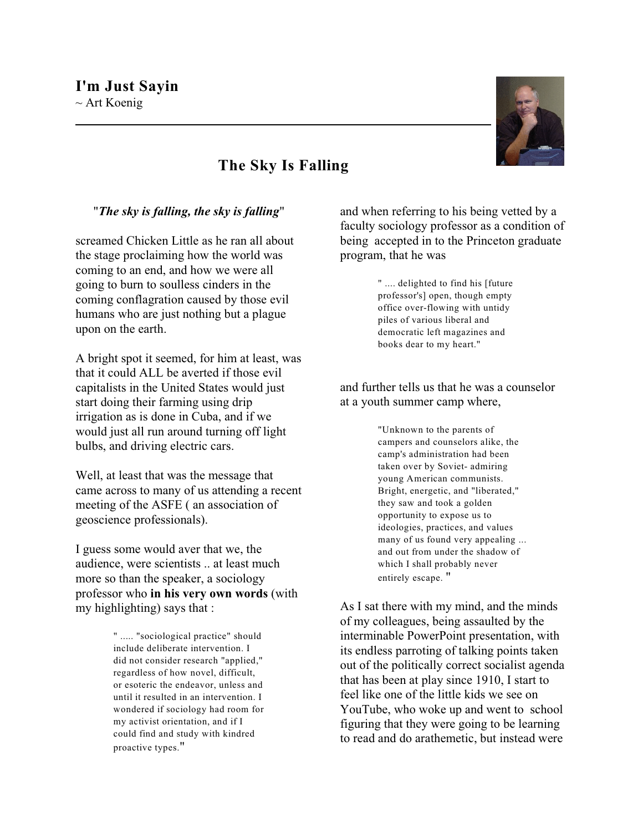

## **The Sky Is Falling**

"*The sky is falling, the sky is falling*"

screamed Chicken Little as he ran all about the stage proclaiming how the world was coming to an end, and how we were all going to burn to soulless cinders in the coming conflagration caused by those evil humans who are just nothing but a plague upon on the earth.

A bright spot it seemed, for him at least, was that it could ALL be averted if those evil capitalists in the United States would just start doing their farming using drip irrigation as is done in Cuba, and if we would just all run around turning off light bulbs, and driving electric cars.

Well, at least that was the message that came across to many of us attending a recent meeting of the ASFE ( an association of geoscience professionals).

I guess some would aver that we, the audience, were scientists .. at least much more so than the speaker, a sociology professor who **in his very own words** (with my highlighting) says that :

> " ..... "sociological practice" should include deliberate intervention. I did not consider research "applied," regardless of how novel, difficult, or esoteric the endeavor, unless and until it resulted in an intervention. I wondered if sociology had room for my activist orientation, and if I could find and study with kindred proactive types."

and when referring to his being vetted by a faculty sociology professor as a condition of being accepted in to the Princeton graduate program, that he was

> " .... delighted to find his [future professor's] open, though empty office over-flowing with untidy piles of various liberal and democratic left magazines and books dear to my heart."

and further tells us that he was a counselor at a youth summer camp where,

> "Unknown to the parents of campers and counselors alike, the camp's administration had been taken over by Soviet- admiring young American communists. Bright, energetic, and "liberated," they saw and took a golden opportunity to expose us to ideologies, practices, and values many of us found very appealing ... and out from under the shadow of which I shall probably never entirely escape. "

As I sat there with my mind, and the minds of my colleagues, being assaulted by the interminable PowerPoint presentation, with its endless parroting of talking points taken out of the politically correct socialist agenda that has been at play since 1910, I start to feel like one of the little kids we see on YouTube, who woke up and went to school figuring that they were going to be learning to read and do arathemetic, but instead were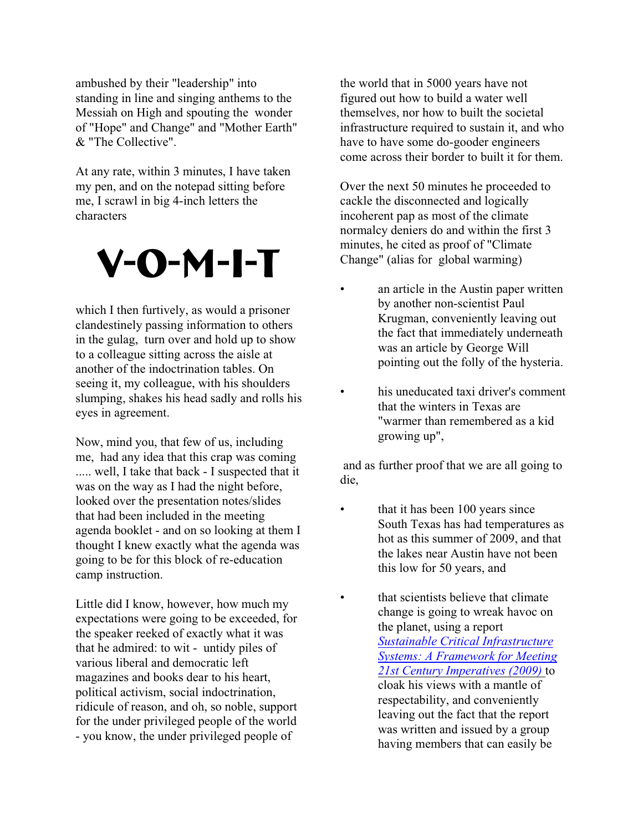ambushed by their "leadership" into standing in line and singing anthems to the Messiah on High and spouting the wonder of "Hope" and Change" and "Mother Earth" & "The Collective".

At any rate, within 3 minutes, I have taken my pen, and on the notepad sitting before me, I scrawl in big 4-inch letters the characters

## V-O-M-I-T

which I then furtively, as would a prisoner clandestinely passing information to others in the gulag, turn over and hold up to show to a colleague sitting across the aisle at another of the indoctrination tables. On seeing it, my colleague, with his shoulders slumping, shakes his head sadly and rolls his eyes in agreement.

Now, mind you, that few of us, including me, had any idea that this crap was coming ..... well, I take that back - I suspected that it was on the way as I had the night before, looked over the presentation notes/slides that had been included in the meeting agenda booklet - and on so looking at them I thought I knew exactly what the agenda was going to be for this block of re-education camp instruction.

Little did I know, however, how much my expectations were going to be exceeded, for the speaker reeked of exactly what it was that he admired: to wit - untidy piles of various liberal and democratic left magazines and books dear to his heart, political activism, social indoctrination, ridicule of reason, and oh, so noble, support for the under privileged people of the world - you know, the under privileged people of

the world that in 5000 years have not figured out how to build a water well themselves, nor how to built the societal infrastructure required to sustain it, and who have to have some do-gooder engineers come across their border to built it for them.

Over the next 50 minutes he proceeded to cackle the disconnected and logically incoherent pap as most of the climate normalcy deniers do and within the first 3 minutes, he cited as proof of "Climate Change" (alias for global warming)

- an article in the Austin paper written by another non-scientist Paul Krugman, conveniently leaving out the fact that immediately underneath was an article by George Will pointing out the folly of the hysteria.
	- his uneducated taxi driver's comment that the winters in Texas are "warmer than remembered as a kid growing up",

 and as further proof that we are all going to die,

- that it has been 100 years since South Texas has had temperatures as hot as this summer of 2009, and that the lakes near Austin have not been this low for 50 years, and
	- that scientists believe that climate change is going to wreak havoc on the planet, using a report *[Sustainable Critical Infrastructure](http://books.nap.edu/openbook.php?record_id=12638&page=R1) [Systems: A Framework for Meeting](http://books.nap.edu/openbook.php?record_id=12638&page=R1) [21st Century Imperatives \(2009\)](http://books.nap.edu/openbook.php?record_id=12638&page=R1)* to cloak his views with a mantle of respectability, and conveniently leaving out the fact that the report was written and issued by a group having members that can easily be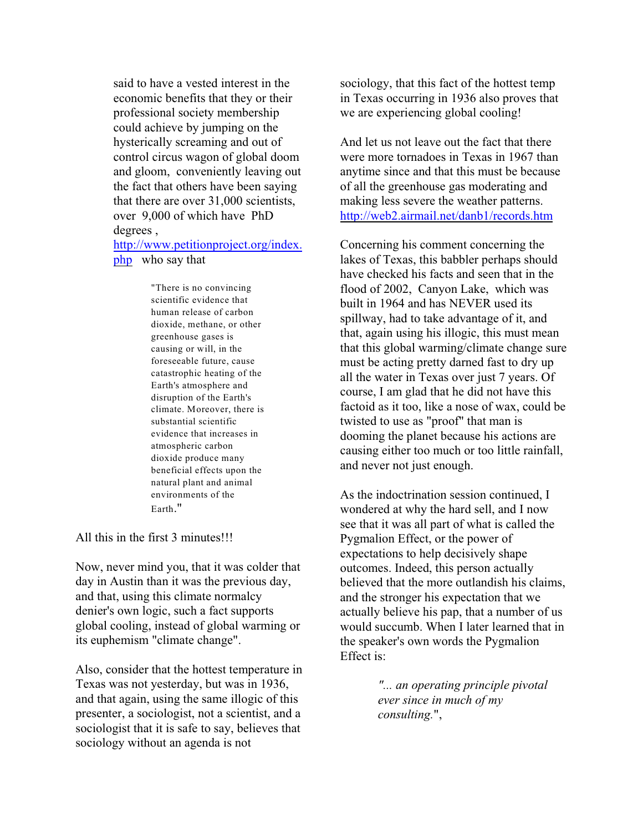said to have a vested interest in the economic benefits that they or their professional society membership could achieve by jumping on the hysterically screaming and out of control circus wagon of global doom and gloom, conveniently leaving out the fact that others have been saying that there are over 31,000 scientists, over 9,000 of which have PhD degrees ,

[http://www.petitionproject.org/index.](http://www.petitionproject.org/index.php) [php](http://www.petitionproject.org/index.php) who say that

> "There is no convincing scientific evidence that human release of carbon dioxide, methane, or other greenhouse gases is causing or will, in the foreseeable future, cause catastrophic heating of the Earth's atmosphere and disruption of the Earth's climate. Moreover, there is substantial scientific evidence that increases in atmospheric carbon dioxide produce many beneficial effects upon the natural plant and animal environments of the Earth."

All this in the first 3 minutes!!!

Now, never mind you, that it was colder that day in Austin than it was the previous day, and that, using this climate normalcy denier's own logic, such a fact supports global cooling, instead of global warming or its euphemism "climate change".

Also, consider that the hottest temperature in Texas was not yesterday, but was in 1936, and that again, using the same illogic of this presenter, a sociologist, not a scientist, and a sociologist that it is safe to say, believes that sociology without an agenda is not

sociology, that this fact of the hottest temp in Texas occurring in 1936 also proves that we are experiencing global cooling!

And let us not leave out the fact that there were more tornadoes in Texas in 1967 than anytime since and that this must be because of all the greenhouse gas moderating and making less severe the weather patterns. <http://web2.airmail.net/danb1/records.htm>

Concerning his comment concerning the lakes of Texas, this babbler perhaps should have checked his facts and seen that in the flood of 2002, Canyon Lake, which was built in 1964 and has NEVER used its spillway, had to take advantage of it, and that, again using his illogic, this must mean that this global warming/climate change sure must be acting pretty darned fast to dry up all the water in Texas over just 7 years. Of course, I am glad that he did not have this factoid as it too, like a nose of wax, could be twisted to use as "proof" that man is dooming the planet because his actions are causing either too much or too little rainfall, and never not just enough.

As the indoctrination session continued, I wondered at why the hard sell, and I now see that it was all part of what is called the Pygmalion Effect, or the power of expectations to help decisively shape outcomes. Indeed, this person actually believed that the more outlandish his claims, and the stronger his expectation that we actually believe his pap, that a number of us would succumb. When I later learned that in the speaker's own words the Pygmalion Effect is:

> *"... an operating principle pivotal ever since in much of my consulting.*",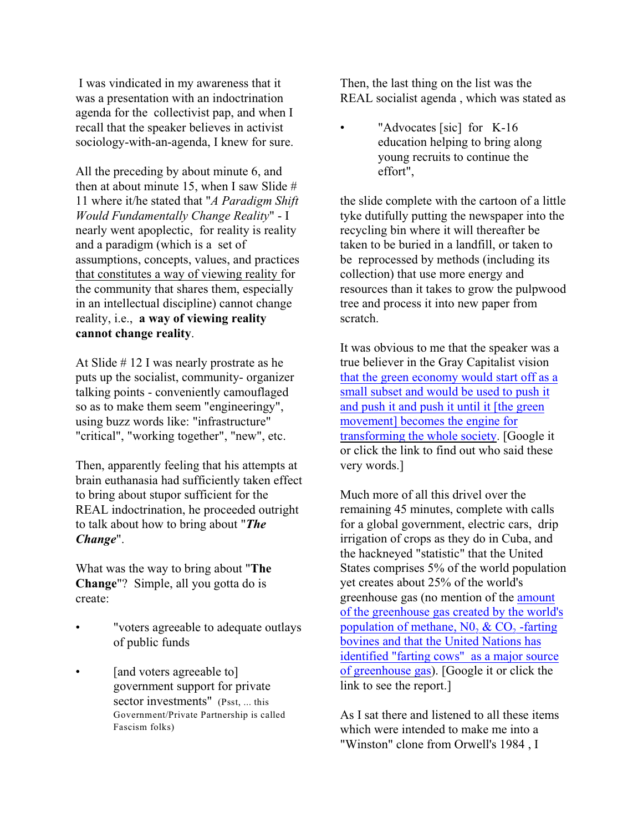I was vindicated in my awareness that it was a presentation with an indoctrination agenda for the collectivist pap, and when I recall that the speaker believes in activist sociology-with-an-agenda, I knew for sure.

All the preceding by about minute 6, and then at about minute 15, when I saw Slide # 11 where it/he stated that "*A Paradigm Shift Would Fundamentally Change Reality*" - I nearly went apoplectic, for reality is reality and a paradigm (which is a set of assumptions, concepts, values, and practices that constitutes a way of viewing reality for the community that shares them, especially in an intellectual discipline) cannot change reality, i.e., **a way of viewing reality cannot change reality**.

At Slide # 12 I was nearly prostrate as he puts up the socialist, community- organizer talking points - conveniently camouflaged so as to make them seem "engineeringy", using buzz words like: "infrastructure" "critical", "working together", "new", etc.

Then, apparently feeling that his attempts at brain euthanasia had sufficiently taken effect to bring about stupor sufficient for the REAL indoctrination, he proceeded outright to talk about how to bring about "*The Change*".

What was the way to bring about "**The Change**"? Simple, all you gotta do is create:

- "voters agreeable to adequate outlays of public funds
- *and voters agreeable to* government support for private sector investments" (Psst, ... this Government/Private Partnership is called Fascism folks)

Then, the last thing on the list was the REAL socialist agenda , which was stated as

"Advocates [sic] for K-16 education helping to bring along young recruits to continue the effort",

the slide complete with the cartoon of a little tyke dutifully putting the newspaper into the recycling bin where it will thereafter be taken to be buried in a landfill, or taken to be reprocessed by methods (including its collection) that use more energy and resources than it takes to grow the pulpwood tree and process it into new paper from scratch.

It was obvious to me that the speaker was a true believer in the Gray Capitalist vision [that the green economy would start off as a](http://www.foxnews.com/politics/2009/09/03/raw-data-van-jones-words/) [small subset and would be used to push it](http://www.foxnews.com/politics/2009/09/03/raw-data-van-jones-words/) [and push it and push it until it \[the green](http://www.foxnews.com/politics/2009/09/03/raw-data-van-jones-words/) [movement\] becomes the engine for](http://www.foxnews.com/politics/2009/09/03/raw-data-van-jones-words/) [transforming the whole society](http://www.foxnews.com/politics/2009/09/03/raw-data-van-jones-words/). [Google it or click the link to find out who said these very words.]

Much more of all this drivel over the remaining 45 minutes, complete with calls for a global government, electric cars, drip irrigation of crops as they do in Cuba, and the hackneyed "statistic" that the United States comprises 5% of the world population yet creates about 25% of the world's greenhouse gas (no mention of the [amount](http://www.un.org/apps/news/story.asp?NewsID=20772&Cr=global&Cr1=environment) [of the greenhouse gas created by the world's](http://www.un.org/apps/news/story.asp?NewsID=20772&Cr=global&Cr1=environment) population of methane,  $N_0$ ,  $\&$  CO<sub>2</sub> -farting [bovines and that the United Nations has](http://www.un.org/apps/news/story.asp?NewsID=20772&Cr=global&Cr1=environment) [identified "farting cows" as a major source](http://www.un.org/apps/news/story.asp?NewsID=20772&Cr=global&Cr1=environment) [of greenhouse gas](http://www.un.org/apps/news/story.asp?NewsID=20772&Cr=global&Cr1=environment)). [Google it or click the link to see the report.]

As I sat there and listened to all these items which were intended to make me into a "Winston" clone from Orwell's 1984 , I